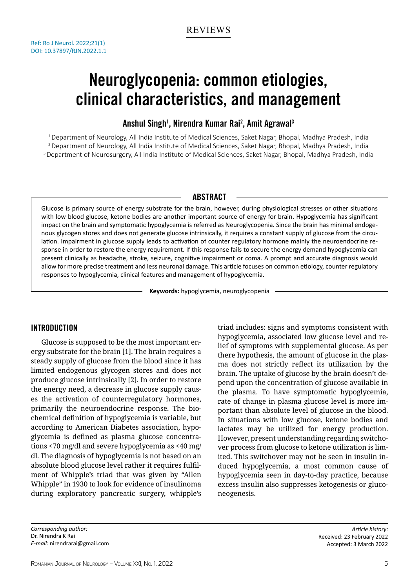# Neuroglycopenia: common etiologies, clinical characteristics, and management

# Anshul Singh<sup>1</sup>, Nirendra Kumar Rai<sup>2</sup>, Amit Agrawal<sup>3</sup>

1 Department of Neurology, All India Institute of Medical Sciences, Saket Nagar, Bhopal, Madhya Pradesh, India 2 Department of Neurology, All India Institute of Medical Sciences, Saket Nagar, Bhopal, Madhya Pradesh, India <sup>3</sup> Department of Neurosurgery, All India Institute of Medical Sciences, Saket Nagar, Bhopal, Madhya Pradesh, India

# **ABSTRACT**

Glucose is primary source of energy substrate for the brain, however, during physiological stresses or other situations with low blood glucose, ketone bodies are another important source of energy for brain. Hypoglycemia has significant impact on the brain and symptomatic hypoglycemia is referred as Neuroglycopenia. Since the brain has minimal endogenous glycogen stores and does not generate glucose intrinsically, it requires a constant supply of glucose from the circulation. Impairment in glucose supply leads to activation of counter regulatory hormone mainly the neuroendocrine response in order to restore the energy requirement. If this response fails to secure the energy demand hypoglycemia can present clinically as headache, stroke, seizure, cognitive impairment or coma. A prompt and accurate diagnosis would allow for more precise treatment and less neuronal damage. This article focuses on common etiology, counter regulatory responses to hypoglycemia, clinical features and management of hypoglycemia.

**Keywords:** hypoglycemia, neuroglycopenia

# Introduction

Glucose is supposed to be the most important energy substrate for the brain [1]. The brain requires a steady supply of glucose from the blood since it has limited endogenous glycogen stores and does not produce glucose intrinsically [2]. In order to restore the energy need, a decrease in glucose supply causes the activation of counterregulatory hormones, primarily the neuroendocrine response. The biochemical definition of hypoglycemia is variable, but according to American Diabetes association, hypoglycemia is defined as plasma glucose concentrations <70 mg/dl and severe hypoglycemia as <40 mg/ dl. The diagnosis of hypoglycemia is not based on an absolute blood glucose level rather it requires fulfilment of Whipple's triad that was given by "Allen Whipple" in 1930 to look for evidence of insulinoma during exploratory pancreatic surgery, whipple's triad includes: signs and symptoms consistent with hypoglycemia, associated low glucose level and relief of symptoms with supplemental glucose. As per there hypothesis, the amount of glucose in the plasma does not strictly reflect its utilization by the brain. The uptake of glucose by the brain doesn't depend upon the concentration of glucose available in the plasma. To have symptomatic hypoglycemia, rate of change in plasma glucose level is more important than absolute level of glucose in the blood. In situations with low glucose, ketone bodies and lactates may be utilized for energy production. However, present understanding regarding switchover process from glucose to ketone utilization is limited. This switchover may not be seen in insulin induced hypoglycemia, a most common cause of hypoglycemia seen in day-to-day practice, because excess insulin also suppresses ketogenesis or gluconeogenesis.

*Corresponding author:* Dr. Nirendra K Rai *E-mail:* nirendrarai@gmail.com

*Article history:* Received: 23 February 2022 Accepted: 3 March 2022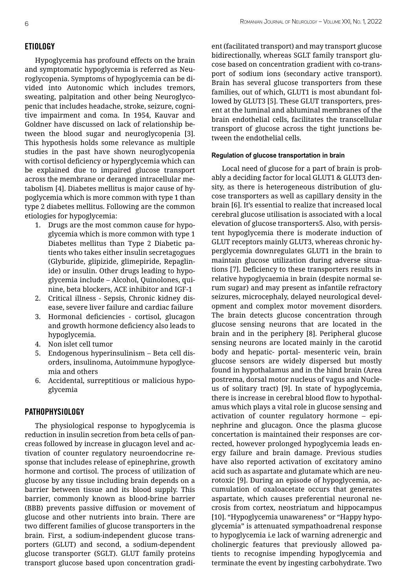Hypoglycemia has profound effects on the brain and symptomatic hypoglycemia is referred as Neuroglycopenia. Symptoms of hypoglycemia can be divided into Autonomic which includes tremors, sweating, palpitation and other being Neuroglycopenic that includes headache, stroke, seizure, cognitive impairment and coma. In 1954, Kauvar and Goldner have discussed on lack of relationship between the blood sugar and neuroglycopenia [3]. This hypothesis holds some relevance as multiple studies in the past have shown neuroglycopenia with cortisol deficiency or hyperglycemia which can be explained due to impaired glucose transport across the membrane or deranged intracellular metabolism [4]. Diabetes mellitus is major cause of hypoglycemia which is more common with type 1 than type 2 diabetes mellitus. Following are the common etiologies for hypoglycemia:

- 1. Drugs are the most common cause for hypoglycemia which is more common with type 1 Diabetes mellitus than Type 2 Diabetic patients who takes either insulin secretagogues (Glyburide, glipizide, glimepiride, Repaglinide) or insulin. Other drugs leading to hypoglycemia include – Alcohol, Quinolones, quinine, beta blockers, ACE inhibitor and IGF-1
- 2. Critical illness Sepsis, Chronic kidney disease, severe liver failure and cardiac failure
- 3. Hormonal deficiencies cortisol, glucagon and growth hormone deficiency also leads to hypoglycemia.
- 4. Non islet cell tumor
- 5. Endogenous hyperinsulinism Beta cell disorders, insulinoma, Autoimmune hypoglycemia and others
- 6. Accidental, surreptitious or malicious hypoglycemia

## Pathophysiology

The physiological response to hypoglycemia is reduction in insulin secretion from beta cells of pancreas followed by increase in glucagon level and activation of counter regulatory neuroendocrine response that includes release of epinephrine, growth hormone and cortisol. The process of utilization of glucose by any tissue including brain depends on a barrier between tissue and its blood supply. This barrier, commonly known as blood-brine barrier (BBB) prevents passive diffusion or movement of glucose and other nutrients into brain. There are two different families of glucose transporters in the brain. First, a sodium-independent glucose transporters (GLUT) and second, a sodium-dependent glucose transporter (SGLT). GLUT family proteins transport glucose based upon concentration gradi-

ent (facilitated transport) and may transport glucose bidirectionally, whereas SGLT family transport glucose based on concentration gradient with co-transport of sodium ions (secondary active transport). Brain has several glucose transporters from these families, out of which, GLUT1 is most abundant followed by GLUT3 [5]. These GLUT transporters, present at the luminal and abluminal membranes of the brain endothelial cells, facilitates the transcellular transport of glucose across the tight junctions between the endothelial cells.

## **Regulation of glucose transportation in brain**

Local need of glucose for a part of brain is probably a deciding factor for local GLUT1 & GLUT3 density, as there is heterogeneous distribution of glucose transporters as well as capillary density in the brain [6]. It's essential to realize that increased local cerebral glucose utilisation is associated with a local elevation of glucose transporters5. Also, with persistent hypoglycemia there is moderate induction of GLUT receptors mainly GLUT3, whereas chronic hyperglycemia downregulates GLUT1 in the brain to maintain glucose utilization during adverse situations [7]. Deficiency to these transporters results in relative hypoglycaemia in brain (despite normal serum sugar) and may present as infantile refractory seizures, microcephaly, delayed neurological development and complex motor movement disorders. The brain detects glucose concentration through glucose sensing neurons that are located in the brain and in the periphery [8]. Peripheral glucose sensing neurons are located mainly in the carotid body and hepatic- portal- mesenteric vein, brain glucose sensors are widely dispersed but mostly found in hypothalamus and in the hind brain (Area postrema, dorsal motor nucleus of vagus and Nucleus of solitary tract) [9]. In state of hypoglycemia, there is increase in cerebral blood flow to hypothalamus which plays a vital role in glucose sensing and activation of counter regulatory hormone – epinephrine and glucagon. Once the plasma glucose concertation is maintained their responses are corrected, however prolonged hypoglycemia leads energy failure and brain damage. Previous studies have also reported activation of excitatory amino acid such as aspartate and glutamate which are neurotoxic [9]. During an episode of hypoglycemia, accumulation of oxaloacetate occurs that generates aspartate, which causes preferential neuronal necrosis from cortex, neostriatum and hippocampus [10]. "Hypoglycemia unawareness" or "Happy hypoglycemia" is attenuated sympathoadrenal response to hypoglycemia i.e lack of warning adrenergic and cholinergic features that previously allowed patients to recognise impending hypoglycemia and terminate the event by ingesting carbohydrate. Two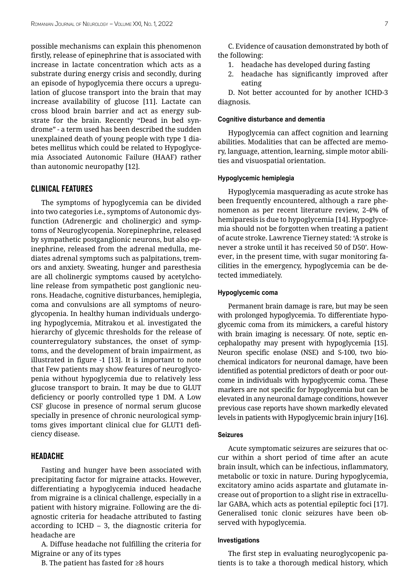possible mechanisms can explain this phenomenon firstly, release of epinephrine that is associated with increase in lactate concentration which acts as a substrate during energy crisis and secondly, during an episode of hypoglycemia there occurs a upregulation of glucose transport into the brain that may increase availability of glucose [11]. Lactate can cross blood brain barrier and act as energy substrate for the brain. Recently "Dead in bed syndrome" - a term used has been described the sudden unexplained death of young people with type 1 diabetes mellitus which could be related to Hypoglycemia Associated Autonomic Failure (HAAF) rather than autonomic neuropathy [12].

## Clinical features

The symptoms of hypoglycemia can be divided into two categories i.e., symptoms of Autonomic dysfunction (Adrenergic and cholinergic) and symptoms of Neuroglycopenia. Norepinephrine, released by sympathetic postganglionic neurons, but also epinephrine, released from the adrenal medulla, mediates adrenal symptoms such as palpitations, tremors and anxiety. Sweating, hunger and paresthesia are all cholinergic symptoms caused by acetylcholine release from sympathetic post ganglionic neurons. Headache, cognitive disturbances, hemiplegia, coma and convulsions are all symptoms of neuroglycopenia. In healthy human individuals undergoing hypoglycemia, Mitrakou et al. investigated the hierarchy of glycemic thresholds for the release of counterregulatory substances, the onset of symptoms, and the development of brain impairment, as illustrated in figure -1 [13]. It is important to note that Few patients may show features of neuroglycopenia without hypoglycemia due to relatively less glucose transport to brain. It may be due to GLUT deficiency or poorly controlled type 1 DM. A Low CSF glucose in presence of normal serum glucose specially in presence of chronic neurological symptoms gives important clinical clue for GLUT1 deficiency disease.

## Headache

Fasting and hunger have been associated with precipitating factor for migraine attacks. However, differentiating a hypoglycemia induced headache from migraine is a clinical challenge, especially in a patient with history migraine. Following are the diagnostic criteria for headache attributed to fasting according to ICHD – 3, the diagnostic criteria for headache are

A. Diffuse headache not fulfilling the criteria for Migraine or any of its types

B. The patient has fasted for ≥8 hours

C. Evidence of causation demonstrated by both of the following:

- 1. headache has developed during fasting
- 2. headache has significantly improved after eating

D. Not better accounted for by another ICHD-3 diagnosis.

#### **Cognitive disturbance and dementia**

Hypoglycemia can affect cognition and learning abilities. Modalities that can be affected are memory, language, attention, learning, simple motor abilities and visuospatial orientation.

#### **Hypoglycemic hemiplegia**

Hypoglycemia masquerading as acute stroke has been frequently encountered, although a rare phenomenon as per recent literature review, 2-4% of hemiparesis is due to hypoglycemia [14]. Hypoglycemia should not be forgotten when treating a patient of acute stroke. Lawrence Tierney stated: 'A stroke is never a stroke until it has received 50 of D50'. However, in the present time, with sugar monitoring facilities in the emergency, hypoglycemia can be detected immediately.

#### **Hypoglycemic coma**

Permanent brain damage is rare, but may be seen with prolonged hypoglycemia. To differentiate hypoglycemic coma from its mimickers, a careful history with brain imaging is necessary. Of note, septic encephalopathy may present with hypoglycemia [15]. Neuron specific enolase (NSE) and S-100, two biochemical indicators for neuronal damage, have been identified as potential predictors of death or poor outcome in individuals with hypoglycemic coma. These markers are not specific for hypoglycemia but can be elevated in any neuronal damage conditions, however previous case reports have shown markedly elevated levels in patients with Hypoglycemic brain injury [16].

#### **Seizures**

Acute symptomatic seizures are seizures that occur within a short period of time after an acute brain insult, which can be infectious, inflammatory, metabolic or toxic in nature. During hypoglycemia, excitatory amino acids aspartate and glutamate increase out of proportion to a slight rise in extracellular GABA, which acts as potential epileptic foci [17]. Generalised tonic clonic seizures have been observed with hypoglycemia.

## **Investigations**

The first step in evaluating neuroglycopenic patients is to take a thorough medical history, which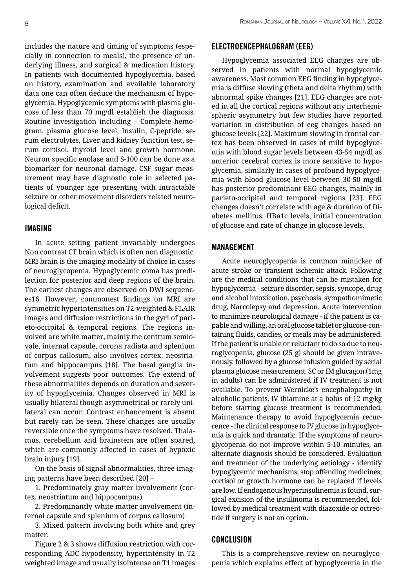includes the nature and timing of symptoms (especially in connection to meals), the presence of underlying illness, and surgical & medication history. In patients with documented hypoglycemia, based on history, examination and available laboratory data one can often deduce the mechanism of hypoglycemia. Hypoglycemic symptoms with plasma glucose of less than 70 mg/dl establish the diagnosis. Routine investigation including – Complete hemogram, plasma glucose level, Insulin, C-peptide, serum electrolytes, Liver and kidney function test, serum cortisol, thyroid level and growth hormone. Neuron specific enolase and S-100 can be done as a biomarker for neuronal damage. CSF sugar measurement may have diagnostic role in selected patients of younger age presenting with intractable seizure or other movement disorders related neurological deficit.

## Imaging

In acute setting patient invariably undergoes Non contrast CT brain which is often non diagnostic. MRI brain is the imaging modality of choice in cases of neuroglycopenia. Hypoglycemic coma has predilection for posterior and deep regions of the brain. The earliest changes are observed on DWI sequences16. However, commonest findings on MRI are symmetric hyperintensities on T2-weighted & FLAIR images and diffusion restrictions in the gyri of parieto-occipital & temporal regions. The regions involved are white matter, mainly the centrum semiovale, internal capsule, corona radiata and splenium of corpus callosum, also involves cortex, neostriatum and hippocampus [18]. The basal ganglia involvement suggests poor outcomes. The extend of these abnormalities depends on duration and severity of hypoglycemia. Changes observed in MRI is usually bilateral though asymmetrical or rarely unilateral can occur. Contrast enhancement is absent but rarely can be seen. These changes are usually reversible once the symptoms have resolved. Thalamus, cerebellum and brainstem are often spared, which are commonly affected in cases of hypoxic brain injury [19].

On the basis of signal abnormalities, three imaging patterns have been described [20] –

1. Predominately gray matter involvement (cortex, neostriatum and hippocampus)

2. Predominantly white matter involvement (internal capsule and splenium of corpus callosum)

3. Mixed pattern involving both white and grey matter.

Figure 2 & 3 shows diffusion restriction with corresponding ADC hypodensity, hyperintensity in T2 weighted image and usually isointense on T1 images

## Electroencephalogram (EEG)

Hypoglycemia associated EEG changes are observed in patients with normal hypoglycemic awareness. Most common EEG finding in hypoglycemia is diffuse slowing (theta and delta rhythm) with abnormal spike changes [21]. EEG changes are noted in all the cortical regions without any interhemispheric asymmetry but few studies have reported variation in distribution of eeg changes based on glucose levels [22]. Maximum slowing in frontal cortex has been observed in cases of mild hypoglycemia with blood sugar levels between 43-54 mg/dl as anterior cerebral cortex is more sensitive to hypoglycemia, similarly in cases of profound hypoglycemia with blood glucose level between 30-50 mg/dl has posterior predominant EEG changes, mainly in parieto-occipital and temporal regions [23]. EEG changes doesn't correlate with age & duration of Diabetes mellitus, HBa1c levels, initial concentration of glucose and rate of change in glucose levels.

## Management

Acute neuroglycopenia is common mimicker of acute stroke or transient ischemic attack. Following are the medical conditions that can be mistaken for hypoglycemia - seizure disorder, sepsis, syncope, drug and alcohol intoxication, psychosis, sympathomimetic drug, Narcolepsy and depression. Acute intervention to minimize neurological damage - if the patient is capable and willing, an oral glucose tablet or glucose-containing fluids, candies, or meals may be administered. If the patient is unable or reluctant to do so due to neuroglycopenia, glucose (25 g) should be given intravenously, followed by a glucose infusion guided by serial plasma glucose measurement. SC or IM glucagon (1mg in adults) can be administered if IV treatment is not available. To prevent Wernicke's encephalopathy in alcoholic patients, IV thiamine at a bolus of 12 mg/kg before starting glucose treatment is recommended. Maintenance therapy to avoid hypoglycemia recurrence - the clinical response to IV glucose in hypoglycemia is quick and dramatic. If the symptoms of neuroglycopenia do not improve within 5-10 minutes, an alternate diagnosis should be considered. Evaluation and treatment of the underlying aetiology - identify hypoglycemic mechanisms, stop offending medicines, cortisol or growth hormone can be replaced if levels are low. If endogenous hyperinsulinemia is found, surgical excision of the insulinoma is recommended, followed by medical treatment with diazoxide or octreotide if surgery is not an option.

# Conclusion

This is a comprehensive review on neuroglycopenia which explains effect of hypoglycemia in the